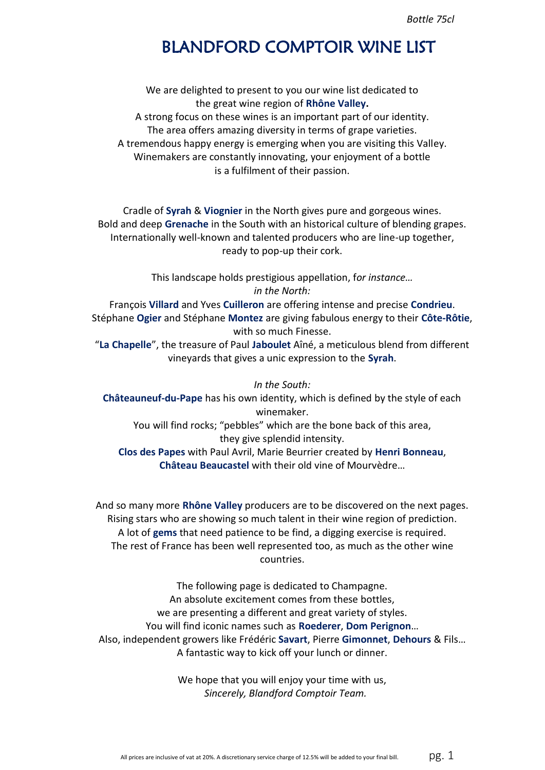*Bottle 75cl*

# BLANDFORD COMPTOIR WINE LIST

We are delighted to present to you our wine list dedicated to the great wine region of **Rhône Valley.** A strong focus on these wines is an important part of our identity. The area offers amazing diversity in terms of grape varieties. A tremendous happy energy is emerging when you are visiting this Valley. Winemakers are constantly innovating, your enjoyment of a bottle is a fulfilment of their passion.

Cradle of **Syrah** & **Viognier** in the North gives pure and gorgeous wines. Bold and deep **Grenache** in the South with an historical culture of blending grapes. Internationally well-known and talented producers who are line-up together, ready to pop-up their cork.

> This landscape holds prestigious appellation, f*or instance… in the North:*

François **Villard** and Yves **Cuilleron** are offering intense and precise **Condrieu**. Stéphane **Ogier** and Stéphane **Montez** are giving fabulous energy to their **Côte-Rôtie**, with so much Finesse.

"**La Chapelle**", the treasure of Paul **Jaboulet** Aîné, a meticulous blend from different vineyards that gives a unic expression to the **Syrah**.

*In the South:* **Châteauneuf-du-Pape** has his own identity, which is defined by the style of each winemaker. You will find rocks; "pebbles" which are the bone back of this area, they give splendid intensity. **Clos des Papes** with Paul Avril, Marie Beurrier created by **Henri Bonneau**, **Château Beaucastel** with their old vine of Mourvèdre…

And so many more **Rhône Valley** producers are to be discovered on the next pages. Rising stars who are showing so much talent in their wine region of prediction. A lot of **gems** that need patience to be find, a digging exercise is required. The rest of France has been well represented too, as much as the other wine countries.

The following page is dedicated to Champagne. An absolute excitement comes from these bottles, we are presenting a different and great variety of styles. You will find iconic names such as **Roederer**, **Dom Perignon**… Also, independent growers like Frédéric **Savart**, Pierre **Gimonnet**, **Dehours** & Fils… A fantastic way to kick off your lunch or dinner.

> We hope that you will enjoy your time with us, *Sincerely, Blandford Comptoir Team.*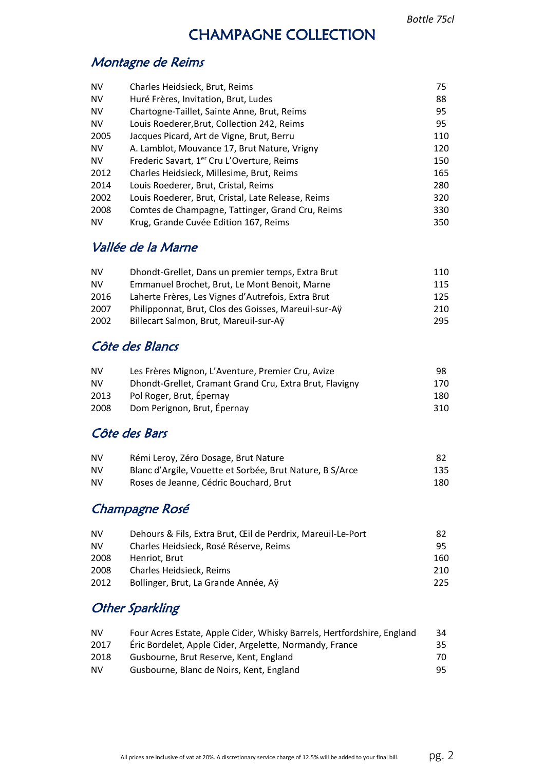## CHAMPAGNE COLLECTION

## Montagne de Reims

| <b>NV</b> | Charles Heidsieck, Brut, Reims                         | 75  |
|-----------|--------------------------------------------------------|-----|
| <b>NV</b> | Huré Frères, Invitation, Brut, Ludes                   | 88  |
| <b>NV</b> | Chartogne-Taillet, Sainte Anne, Brut, Reims            | 95  |
| <b>NV</b> | Louis Roederer, Brut, Collection 242, Reims            | 95  |
| 2005      | Jacques Picard, Art de Vigne, Brut, Berru              | 110 |
| <b>NV</b> | A. Lamblot, Mouvance 17, Brut Nature, Vrigny           | 120 |
| <b>NV</b> | Frederic Savart, 1 <sup>er</sup> Cru L'Overture, Reims | 150 |
| 2012      | Charles Heidsieck, Millesime, Brut, Reims              | 165 |
| 2014      | Louis Roederer, Brut, Cristal, Reims                   | 280 |
| 2002      | Louis Roederer, Brut, Cristal, Late Release, Reims     | 320 |
| 2008      | Comtes de Champagne, Tattinger, Grand Cru, Reims       | 330 |
| <b>NV</b> | Krug, Grande Cuvée Edition 167, Reims                  | 350 |

## Vallée de la Marne

| NV   | Dhondt-Grellet, Dans un premier temps, Extra Brut    | 110 |
|------|------------------------------------------------------|-----|
| NV   | Emmanuel Brochet, Brut, Le Mont Benoit, Marne        | 115 |
| 2016 | Laherte Frères, Les Vignes d'Autrefois, Extra Brut   | 125 |
| 2007 | Philipponnat, Brut, Clos des Goisses, Mareuil-sur-Ay | 210 |
| 2002 | Billecart Salmon, Brut, Mareuil-sur-Ay               | 295 |

## Côte des Blancs

| <b>NV</b> | Les Frères Mignon, L'Aventure, Premier Cru, Avize       | 98  |
|-----------|---------------------------------------------------------|-----|
| <b>NV</b> | Dhondt-Grellet, Cramant Grand Cru, Extra Brut, Flavigny | 170 |
| 2013      | Pol Roger, Brut, Épernay                                | 180 |
| 2008      | Dom Perignon, Brut, Épernay                             | 310 |

## Côte des Bars

| <b>NV</b> | Rémi Leroy, Zéro Dosage, Brut Nature                     | -82 |
|-----------|----------------------------------------------------------|-----|
| <b>NV</b> | Blanc d'Argile, Vouette et Sorbée, Brut Nature, B S/Arce | 135 |
| <b>NV</b> | Roses de Jeanne, Cédric Bouchard, Brut                   | 180 |

## Champagne Rosé

| <b>NV</b> | Dehours & Fils, Extra Brut, CEII de Perdrix, Mareuil-Le-Port | 82  |
|-----------|--------------------------------------------------------------|-----|
| <b>NV</b> | Charles Heidsieck. Rosé Réserve. Reims                       | 95  |
| 2008      | Henriot. Brut                                                | 160 |
| 2008      | Charles Heidsieck, Reims                                     | 210 |
| 2012      | Bollinger, Brut, La Grande Année, Aÿ                         | 225 |

## **Other Sparkling**

| <b>NV</b> | Four Acres Estate, Apple Cider, Whisky Barrels, Hertfordshire, England | 34  |
|-----------|------------------------------------------------------------------------|-----|
| 2017      | Éric Bordelet, Apple Cider, Argelette, Normandy, France                | 35. |
| 2018      | Gusbourne, Brut Reserve, Kent, England                                 | 70. |
| <b>NV</b> | Gusbourne, Blanc de Noirs, Kent, England                               | 95. |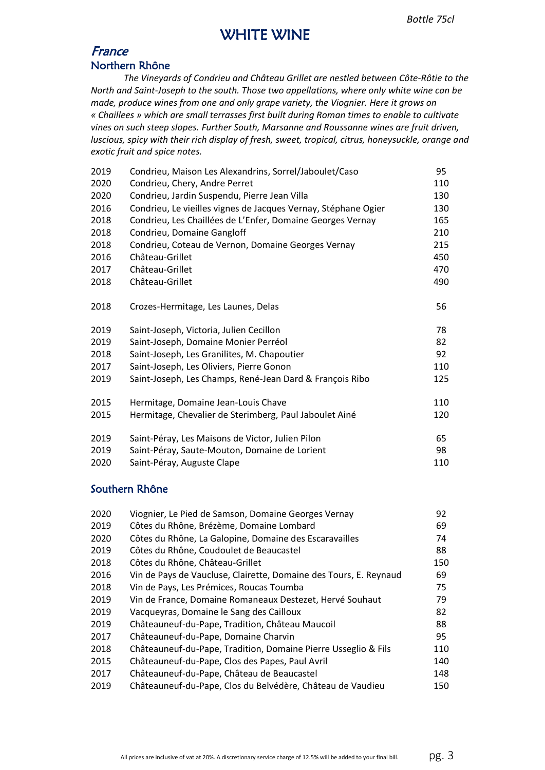## WHITE WINE

### France Northern Rhône

*The Vineyards of Condrieu and Château Grillet are nestled between Côte-Rôtie to the North and Saint-Joseph to the south. Those two appellations, where only white wine can be made, produce wines from one and only grape variety, the Viognier. Here it grows on « Chaillees » which are small terrasses first built during Roman times to enable to cultivate vines on such steep slopes. Further South, Marsanne and Roussanne wines are fruit driven, luscious, spicy with their rich display of fresh, sweet, tropical, citrus, honeysuckle, orange and exotic fruit and spice notes.*

| 2019 | Condrieu, Maison Les Alexandrins, Sorrel/Jaboulet/Caso         | 95  |
|------|----------------------------------------------------------------|-----|
| 2020 | Condrieu, Chery, Andre Perret                                  | 110 |
| 2020 | Condrieu, Jardin Suspendu, Pierre Jean Villa                   | 130 |
| 2016 | Condrieu, Le vieilles vignes de Jacques Vernay, Stéphane Ogier | 130 |
| 2018 | Condrieu, Les Chaillées de L'Enfer, Domaine Georges Vernay     | 165 |
| 2018 | Condrieu, Domaine Gangloff                                     | 210 |
| 2018 | Condrieu, Coteau de Vernon, Domaine Georges Vernay             | 215 |
| 2016 | Château-Grillet                                                | 450 |
| 2017 | Château-Grillet                                                | 470 |
| 2018 | Château-Grillet                                                | 490 |
| 2018 | Crozes-Hermitage, Les Launes, Delas                            | 56  |
| 2019 | Saint-Joseph, Victoria, Julien Cecillon                        | 78  |
| 2019 | Saint-Joseph, Domaine Monier Perréol                           | 82  |
| 2018 | Saint-Joseph, Les Granilites, M. Chapoutier                    | 92  |
| 2017 | Saint-Joseph, Les Oliviers, Pierre Gonon                       | 110 |
| 2019 | Saint-Joseph, Les Champs, René-Jean Dard & François Ribo       | 125 |
| 2015 | Hermitage, Domaine Jean-Louis Chave                            | 110 |
| 2015 | Hermitage, Chevalier de Sterimberg, Paul Jaboulet Ainé         | 120 |
| 2019 | Saint-Péray, Les Maisons de Victor, Julien Pilon               | 65  |
| 2019 | Saint-Péray, Saute-Mouton, Domaine de Lorient                  | 98  |
| 2020 | Saint-Péray, Auguste Clape                                     | 110 |

### Southern Rhône

| 2020 | Viognier, Le Pied de Samson, Domaine Georges Vernay               | 92  |
|------|-------------------------------------------------------------------|-----|
| 2019 | Côtes du Rhône, Brézème, Domaine Lombard                          | 69  |
| 2020 | Côtes du Rhône, La Galopine, Domaine des Escaravailles            | 74  |
| 2019 | Côtes du Rhône, Coudoulet de Beaucastel                           | 88  |
| 2018 | Côtes du Rhône, Château-Grillet                                   | 150 |
| 2016 | Vin de Pays de Vaucluse, Clairette, Domaine des Tours, E. Reynaud | 69  |
| 2018 | Vin de Pays, Les Prémices, Roucas Toumba                          | 75  |
| 2019 | Vin de France, Domaine Romaneaux Destezet, Hervé Souhaut          | 79  |
| 2019 | Vacqueyras, Domaine le Sang des Cailloux                          | 82  |
| 2019 | Châteauneuf-du-Pape, Tradition, Château Maucoil                   | 88  |
| 2017 | Châteauneuf-du-Pape, Domaine Charvin                              | 95  |
| 2018 | Châteauneuf-du-Pape, Tradition, Domaine Pierre Usseglio & Fils    | 110 |
| 2015 | Châteauneuf-du-Pape, Clos des Papes, Paul Avril                   | 140 |
| 2017 | Châteauneuf-du-Pape, Château de Beaucastel                        | 148 |
| 2019 | Châteauneuf-du-Pape, Clos du Belvédère, Château de Vaudieu        | 150 |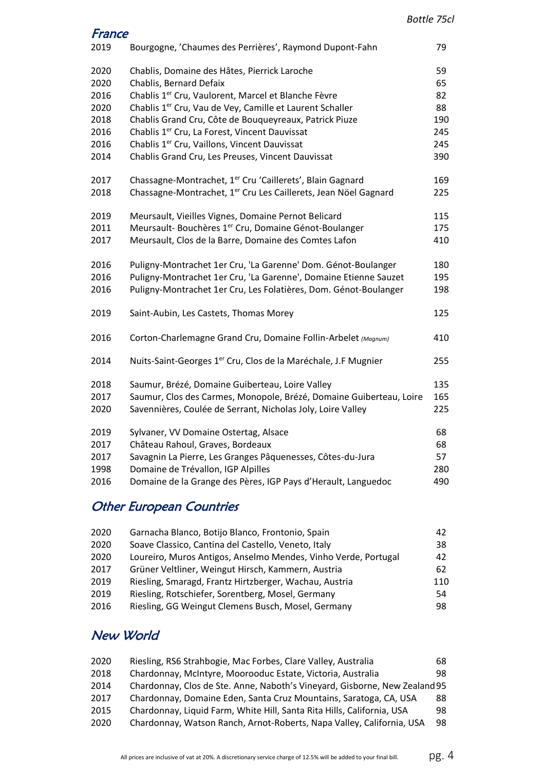| France |                                                                             |     |
|--------|-----------------------------------------------------------------------------|-----|
| 2019   | Bourgogne, 'Chaumes des Perrières', Raymond Dupont-Fahn                     | 79  |
| 2020   | Chablis, Domaine des Hâtes, Pierrick Laroche                                | 59  |
| 2020   | Chablis, Bernard Defaix                                                     | 65  |
| 2016   | Chablis 1 <sup>er</sup> Cru, Vaulorent, Marcel et Blanche Fèvre             | 82  |
| 2020   | Chablis 1 <sup>er</sup> Cru, Vau de Vey, Camille et Laurent Schaller        | 88  |
| 2018   | Chablis Grand Cru, Côte de Bouqueyreaux, Patrick Piuze                      | 190 |
| 2016   | Chablis 1 <sup>er</sup> Cru, La Forest, Vincent Dauvissat                   | 245 |
| 2016   | Chablis 1er Cru, Vaillons, Vincent Dauvissat                                | 245 |
| 2014   | Chablis Grand Cru, Les Preuses, Vincent Dauvissat                           | 390 |
| 2017   | Chassagne-Montrachet, 1 <sup>er</sup> Cru 'Caillerets', Blain Gagnard       | 169 |
| 2018   | Chassagne-Montrachet, 1 <sup>er</sup> Cru Les Caillerets, Jean Nöel Gagnard | 225 |
| 2019   | Meursault, Vieilles Vignes, Domaine Pernot Belicard                         | 115 |
| 2011   | Meursault- Bouchères 1 <sup>er</sup> Cru, Domaine Génot-Boulanger           | 175 |
| 2017   | Meursault, Clos de la Barre, Domaine des Comtes Lafon                       | 410 |
| 2016   | Puligny-Montrachet 1er Cru, 'La Garenne' Dom. Génot-Boulanger               | 180 |
| 2016   | Puligny-Montrachet 1er Cru, 'La Garenne', Domaine Etienne Sauzet            | 195 |
| 2016   | Puligny-Montrachet 1er Cru, Les Folatières, Dom. Génot-Boulanger            | 198 |
| 2019   | Saint-Aubin, Les Castets, Thomas Morey                                      | 125 |
| 2016   | Corton-Charlemagne Grand Cru, Domaine Follin-Arbelet (Magnum)               | 410 |
| 2014   | Nuits-Saint-Georges 1 <sup>er</sup> Cru, Clos de la Maréchale, J.F Mugnier  | 255 |
| 2018   | Saumur, Brézé, Domaine Guiberteau, Loire Valley                             | 135 |
| 2017   | Saumur, Clos des Carmes, Monopole, Brézé, Domaine Guiberteau, Loire         | 165 |
| 2020   | Savennières, Coulée de Serrant, Nicholas Joly, Loire Valley                 | 225 |
| 2019   | Sylvaner, VV Domaine Ostertag, Alsace                                       | 68  |
| 2017   | Château Rahoul, Graves, Bordeaux                                            | 68  |
| 2017   | Savagnin La Pierre, Les Granges Pâquenesses, Côtes-du-Jura                  | 57  |
| 1998   | Domaine de Trévallon, IGP Alpilles                                          | 280 |
| 2016   | Domaine de la Grange des Pères, IGP Pays d'Herault, Languedoc               | 490 |
|        |                                                                             |     |

# Other European Countries

| 2020 | Garnacha Blanco, Botijo Blanco, Frontonio, Spain               | 42  |
|------|----------------------------------------------------------------|-----|
| 2020 | Soave Classico, Cantina del Castello, Veneto, Italy            | 38  |
| 2020 | Loureiro, Muros Antigos, Anselmo Mendes, Vinho Verde, Portugal | 42  |
| 2017 | Grüner Veltliner, Weingut Hirsch, Kammern, Austria             | 62  |
| 2019 | Riesling, Smaragd, Frantz Hirtzberger, Wachau, Austria         | 110 |
| 2019 | Riesling, Rotschiefer, Sorentberg, Mosel, Germany              | 54  |
| 2016 | Riesling, GG Weingut Clemens Busch, Mosel, Germany             | 98. |
|      |                                                                |     |

# New World

| 2020 | Riesling, RS6 Strahbogie, Mac Forbes, Clare Valley, Australia              | 68  |
|------|----------------------------------------------------------------------------|-----|
| 2018 | Chardonnay, McIntyre, Moorooduc Estate, Victoria, Australia                | 98. |
| 2014 | Chardonnay, Clos de Ste. Anne, Naboth's Vineyard, Gisborne, New Zealand 95 |     |
| 2017 | Chardonnay, Domaine Eden, Santa Cruz Mountains, Saratoga, CA, USA          | 88  |
| 2015 | Chardonnay, Liquid Farm, White Hill, Santa Rita Hills, California, USA     | 98  |
| 2020 | Chardonnay, Watson Ranch, Arnot-Roberts, Napa Valley, California, USA      | 98  |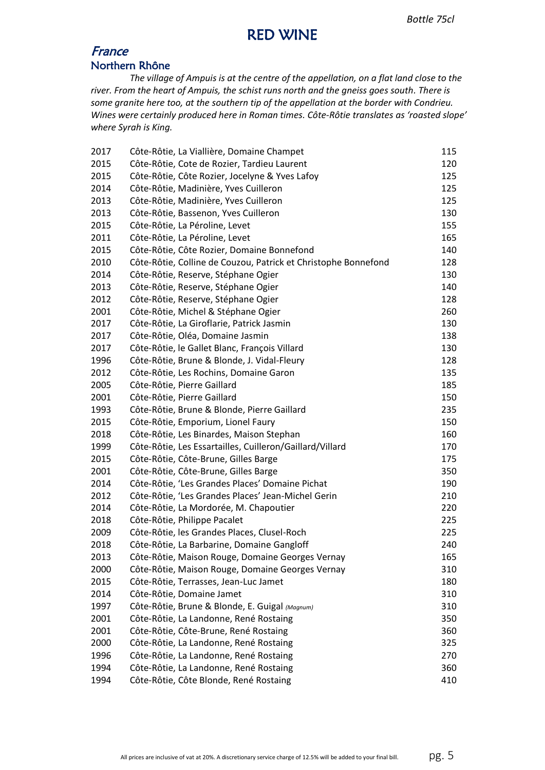## RED WINE

### France Northern Rhône

*The village of Ampuis is at the centre of the appellation, on a flat land close to the river. From the heart of Ampuis, the schist runs north and the gneiss goes south. There is some granite here too, at the southern tip of the appellation at the border with Condrieu. Wines were certainly produced here in Roman times. Côte-Rôtie translates as 'roasted slope' where Syrah is King.*

| 2017 | Côte-Rôtie, La Viallière, Domaine Champet                      | 115 |
|------|----------------------------------------------------------------|-----|
| 2015 | Côte-Rôtie, Cote de Rozier, Tardieu Laurent                    | 120 |
| 2015 | Côte-Rôtie, Côte Rozier, Jocelyne & Yves Lafoy                 | 125 |
| 2014 | Côte-Rôtie, Madinière, Yves Cuilleron                          | 125 |
| 2013 | Côte-Rôtie, Madinière, Yves Cuilleron                          | 125 |
| 2013 | Côte-Rôtie, Bassenon, Yves Cuilleron                           | 130 |
| 2015 | Côte-Rôtie, La Péroline, Levet                                 | 155 |
| 2011 | Côte-Rôtie, La Péroline, Levet                                 | 165 |
| 2015 | Côte-Rôtie, Côte Rozier, Domaine Bonnefond                     | 140 |
| 2010 | Côte-Rôtie, Colline de Couzou, Patrick et Christophe Bonnefond | 128 |
| 2014 | Côte-Rôtie, Reserve, Stéphane Ogier                            | 130 |
| 2013 | Côte-Rôtie, Reserve, Stéphane Ogier                            | 140 |
| 2012 | Côte-Rôtie, Reserve, Stéphane Ogier                            | 128 |
| 2001 | Côte-Rôtie, Michel & Stéphane Ogier                            | 260 |
| 2017 | Côte-Rôtie, La Giroflarie, Patrick Jasmin                      | 130 |
| 2017 | Côte-Rôtie, Oléa, Domaine Jasmin                               | 138 |
| 2017 | Côte-Rôtie, le Gallet Blanc, François Villard                  | 130 |
| 1996 | Côte-Rôtie, Brune & Blonde, J. Vidal-Fleury                    | 128 |
| 2012 | Côte-Rôtie, Les Rochins, Domaine Garon                         | 135 |
| 2005 | Côte-Rôtie, Pierre Gaillard                                    | 185 |
| 2001 | Côte-Rôtie, Pierre Gaillard                                    | 150 |
| 1993 | Côte-Rôtie, Brune & Blonde, Pierre Gaillard                    | 235 |
| 2015 | Côte-Rôtie, Emporium, Lionel Faury                             | 150 |
| 2018 | Côte-Rôtie, Les Binardes, Maison Stephan                       | 160 |
| 1999 | Côte-Rôtie, Les Essartailles, Cuilleron/Gaillard/Villard       | 170 |
| 2015 | Côte-Rôtie, Côte-Brune, Gilles Barge                           | 175 |
| 2001 | Côte-Rôtie, Côte-Brune, Gilles Barge                           | 350 |
| 2014 | Côte-Rôtie, 'Les Grandes Places' Domaine Pichat                | 190 |
| 2012 | Côte-Rôtie, 'Les Grandes Places' Jean-Michel Gerin             | 210 |
| 2014 | Côte-Rôtie, La Mordorée, M. Chapoutier                         | 220 |
| 2018 | Côte-Rôtie, Philippe Pacalet                                   | 225 |
| 2009 | Côte-Rôtie, les Grandes Places, Clusel-Roch                    | 225 |
| 2018 | Côte-Rôtie, La Barbarine, Domaine Gangloff                     | 240 |
| 2013 | Côte-Rôtie, Maison Rouge, Domaine Georges Vernay               | 165 |
| 2000 | Côte-Rôtie, Maison Rouge, Domaine Georges Vernay               | 310 |
| 2015 | Côte-Rôtie, Terrasses, Jean-Luc Jamet                          | 180 |
| 2014 | Côte-Rôtie, Domaine Jamet                                      | 310 |
| 1997 | Côte-Rôtie, Brune & Blonde, E. Guigal (Magnum)                 | 310 |
| 2001 | Côte-Rôtie, La Landonne, René Rostaing                         | 350 |
| 2001 | Côte-Rôtie, Côte-Brune, René Rostaing                          | 360 |
| 2000 | Côte-Rôtie, La Landonne, René Rostaing                         | 325 |
| 1996 | Côte-Rôtie, La Landonne, René Rostaing                         | 270 |
| 1994 | Côte-Rôtie, La Landonne, René Rostaing                         | 360 |
| 1994 | Côte-Rôtie, Côte Blonde, René Rostaing                         | 410 |
|      |                                                                |     |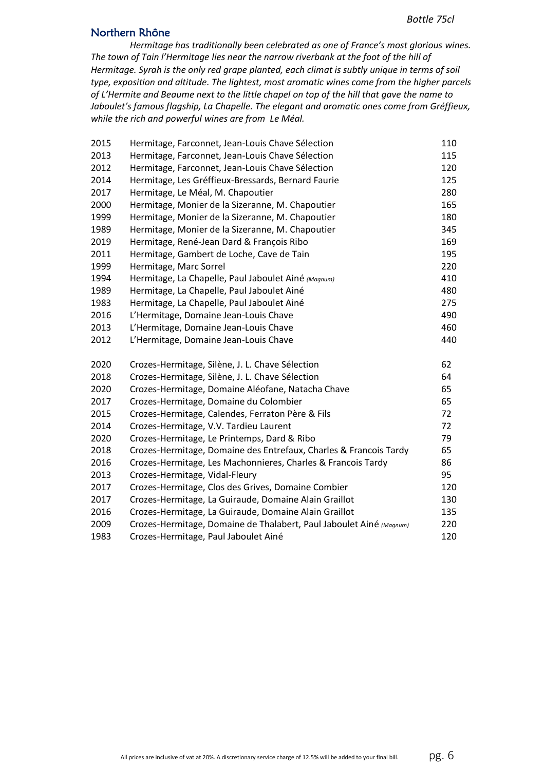#### Northern Rhône

*Hermitage has traditionally been celebrated as one of France's most glorious wines. The town of Tain l'Hermitage lies near the narrow riverbank at the foot of the hill of Hermitage. Syrah is the only red grape planted, each climat is subtly unique in terms of soil type, exposition and altitude. The lightest, most aromatic wines come from the higher parcels of L'Hermite and Beaume next to the little chapel on top of the hill that gave the name to Jaboulet's famous flagship, La Chapelle. The elegant and aromatic ones come from Gréffieux, while the rich and powerful wines are from Le Méal.*

| 2015 | Hermitage, Farconnet, Jean-Louis Chave Sélection                    | 110 |
|------|---------------------------------------------------------------------|-----|
| 2013 | Hermitage, Farconnet, Jean-Louis Chave Sélection                    | 115 |
| 2012 | Hermitage, Farconnet, Jean-Louis Chave Sélection                    | 120 |
| 2014 | Hermitage, Les Gréffieux-Bressards, Bernard Faurie                  | 125 |
| 2017 | Hermitage, Le Méal, M. Chapoutier                                   | 280 |
| 2000 | Hermitage, Monier de la Sizeranne, M. Chapoutier                    | 165 |
| 1999 | Hermitage, Monier de la Sizeranne, M. Chapoutier                    | 180 |
| 1989 | Hermitage, Monier de la Sizeranne, M. Chapoutier                    | 345 |
| 2019 | Hermitage, René-Jean Dard & François Ribo                           | 169 |
| 2011 | Hermitage, Gambert de Loche, Cave de Tain                           | 195 |
| 1999 | Hermitage, Marc Sorrel                                              | 220 |
| 1994 | Hermitage, La Chapelle, Paul Jaboulet Ainé (Magnum)                 | 410 |
| 1989 | Hermitage, La Chapelle, Paul Jaboulet Ainé                          | 480 |
| 1983 | Hermitage, La Chapelle, Paul Jaboulet Ainé                          | 275 |
| 2016 | L'Hermitage, Domaine Jean-Louis Chave                               | 490 |
| 2013 | L'Hermitage, Domaine Jean-Louis Chave                               | 460 |
| 2012 | L'Hermitage, Domaine Jean-Louis Chave                               | 440 |
| 2020 | Crozes-Hermitage, Silène, J. L. Chave Sélection                     | 62  |
| 2018 | Crozes-Hermitage, Silène, J. L. Chave Sélection                     | 64  |
| 2020 | Crozes-Hermitage, Domaine Aléofane, Natacha Chave                   | 65  |
| 2017 | Crozes-Hermitage, Domaine du Colombier                              | 65  |
| 2015 | Crozes-Hermitage, Calendes, Ferraton Père & Fils                    | 72  |
| 2014 | Crozes-Hermitage, V.V. Tardieu Laurent                              | 72  |
| 2020 | Crozes-Hermitage, Le Printemps, Dard & Ribo                         | 79  |
| 2018 | Crozes-Hermitage, Domaine des Entrefaux, Charles & Francois Tardy   | 65  |
| 2016 | Crozes-Hermitage, Les Machonnieres, Charles & Francois Tardy        | 86  |
| 2013 | Crozes-Hermitage, Vidal-Fleury                                      | 95  |
| 2017 | Crozes-Hermitage, Clos des Grives, Domaine Combier                  | 120 |
| 2017 | Crozes-Hermitage, La Guiraude, Domaine Alain Graillot               | 130 |
| 2016 | Crozes-Hermitage, La Guiraude, Domaine Alain Graillot               | 135 |
| 2009 | Crozes-Hermitage, Domaine de Thalabert, Paul Jaboulet Ainé (Magnum) | 220 |
| 1983 | Crozes-Hermitage, Paul Jaboulet Ainé                                | 120 |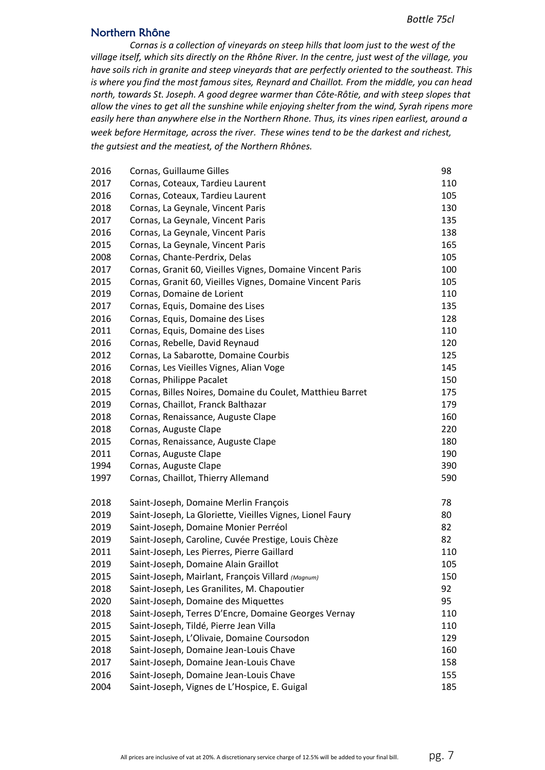#### Northern Rhône

*Cornas is a collection of vineyards on steep hills that loom just to the west of the village itself, which sits directly on the Rhône River. In the centre, just west of the village, you have soils rich in granite and steep vineyards that are perfectly oriented to the southeast. This is where you find the most famous sites, Reynard and Chaillot. From the middle, you can head north, towards St. Joseph. A good degree warmer than Côte-Rôtie, and with steep slopes that allow the vines to get all the sunshine while enjoying shelter from the wind, Syrah ripens more easily here than anywhere else in the Northern Rhone. Thus, its vines ripen earliest, around a week before Hermitage, across the river. These wines tend to be the darkest and richest, the gutsiest and the meatiest, of the Northern Rhônes.*

| 2016 | Cornas, Guillaume Gilles                                  | 98  |
|------|-----------------------------------------------------------|-----|
| 2017 | Cornas, Coteaux, Tardieu Laurent                          | 110 |
| 2016 | Cornas, Coteaux, Tardieu Laurent                          | 105 |
| 2018 | Cornas, La Geynale, Vincent Paris                         | 130 |
| 2017 | Cornas, La Geynale, Vincent Paris                         | 135 |
| 2016 | Cornas, La Geynale, Vincent Paris                         | 138 |
| 2015 | Cornas, La Geynale, Vincent Paris                         | 165 |
| 2008 | Cornas, Chante-Perdrix, Delas                             | 105 |
| 2017 | Cornas, Granit 60, Vieilles Vignes, Domaine Vincent Paris | 100 |
| 2015 | Cornas, Granit 60, Vieilles Vignes, Domaine Vincent Paris | 105 |
| 2019 | Cornas, Domaine de Lorient                                | 110 |
| 2017 | Cornas, Equis, Domaine des Lises                          | 135 |
| 2016 | Cornas, Equis, Domaine des Lises                          | 128 |
| 2011 | Cornas, Equis, Domaine des Lises                          | 110 |
| 2016 | Cornas, Rebelle, David Reynaud                            | 120 |
| 2012 | Cornas, La Sabarotte, Domaine Courbis                     | 125 |
| 2016 | Cornas, Les Vieilles Vignes, Alian Voge                   | 145 |
| 2018 | Cornas, Philippe Pacalet                                  | 150 |
| 2015 | Cornas, Billes Noires, Domaine du Coulet, Matthieu Barret | 175 |
| 2019 | Cornas, Chaillot, Franck Balthazar                        | 179 |
| 2018 | Cornas, Renaissance, Auguste Clape                        | 160 |
| 2018 | Cornas, Auguste Clape                                     | 220 |
| 2015 | Cornas, Renaissance, Auguste Clape                        | 180 |
| 2011 | Cornas, Auguste Clape                                     | 190 |
| 1994 | Cornas, Auguste Clape                                     | 390 |
| 1997 | Cornas, Chaillot, Thierry Allemand                        | 590 |
| 2018 | Saint-Joseph, Domaine Merlin François                     | 78  |
| 2019 | Saint-Joseph, La Gloriette, Vieilles Vignes, Lionel Faury | 80  |
| 2019 | Saint-Joseph, Domaine Monier Perréol                      | 82  |
| 2019 | Saint-Joseph, Caroline, Cuvée Prestige, Louis Chèze       | 82  |
| 2011 | Saint-Joseph, Les Pierres, Pierre Gaillard                | 110 |
| 2019 | Saint-Joseph, Domaine Alain Graillot                      | 105 |
| 2015 | Saint-Joseph, Mairlant, François Villard (Magnum)         | 150 |
| 2018 | Saint-Joseph, Les Granilites, M. Chapoutier               | 92  |
| 2020 | Saint-Joseph, Domaine des Miquettes                       | 95  |
| 2018 | Saint-Joseph, Terres D'Encre, Domaine Georges Vernay      | 110 |
| 2015 | Saint-Joseph, Tildé, Pierre Jean Villa                    | 110 |
| 2015 | Saint-Joseph, L'Olivaie, Domaine Coursodon                | 129 |
| 2018 | Saint-Joseph, Domaine Jean-Louis Chave                    | 160 |
| 2017 | Saint-Joseph, Domaine Jean-Louis Chave                    | 158 |
| 2016 | Saint-Joseph, Domaine Jean-Louis Chave                    | 155 |
| 2004 | Saint-Joseph, Vignes de L'Hospice, E. Guigal              | 185 |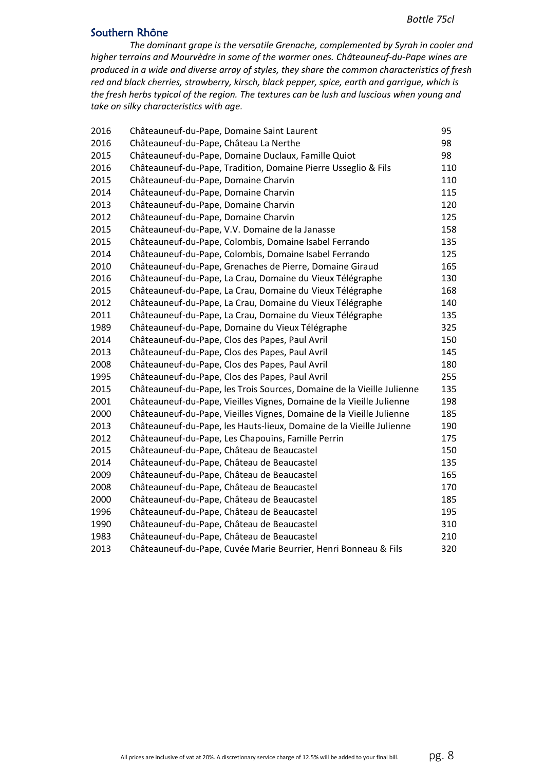#### Southern Rhône

*The dominant grape is the versatile Grenache, complemented by Syrah in cooler and higher terrains and Mourvèdre in some of the warmer ones. Châteauneuf-du-Pape wines are produced in a wide and diverse array of styles, they share the common characteristics of fresh red and black cherries, strawberry, kirsch, black pepper, spice, earth and garrigue, which is the fresh herbs typical of the region. The textures can be lush and luscious when young and take on silky characteristics with age.*

| 2016 | Châteauneuf-du-Pape, Domaine Saint Laurent                             | 95  |
|------|------------------------------------------------------------------------|-----|
| 2016 | Châteauneuf-du-Pape, Château La Nerthe                                 | 98  |
| 2015 | Châteauneuf-du-Pape, Domaine Duclaux, Famille Quiot                    | 98  |
| 2016 | Châteauneuf-du-Pape, Tradition, Domaine Pierre Usseglio & Fils         | 110 |
| 2015 | Châteauneuf-du-Pape, Domaine Charvin                                   | 110 |
| 2014 | Châteauneuf-du-Pape, Domaine Charvin                                   | 115 |
| 2013 | Châteauneuf-du-Pape, Domaine Charvin                                   | 120 |
| 2012 | Châteauneuf-du-Pape, Domaine Charvin                                   | 125 |
| 2015 | Châteauneuf-du-Pape, V.V. Domaine de la Janasse                        | 158 |
| 2015 | Châteauneuf-du-Pape, Colombis, Domaine Isabel Ferrando                 | 135 |
| 2014 | Châteauneuf-du-Pape, Colombis, Domaine Isabel Ferrando                 | 125 |
| 2010 | Châteauneuf-du-Pape, Grenaches de Pierre, Domaine Giraud               | 165 |
| 2016 | Châteauneuf-du-Pape, La Crau, Domaine du Vieux Télégraphe              | 130 |
| 2015 | Châteauneuf-du-Pape, La Crau, Domaine du Vieux Télégraphe              | 168 |
| 2012 | Châteauneuf-du-Pape, La Crau, Domaine du Vieux Télégraphe              | 140 |
| 2011 | Châteauneuf-du-Pape, La Crau, Domaine du Vieux Télégraphe              | 135 |
| 1989 | Châteauneuf-du-Pape, Domaine du Vieux Télégraphe                       | 325 |
| 2014 | Châteauneuf-du-Pape, Clos des Papes, Paul Avril                        | 150 |
| 2013 | Châteauneuf-du-Pape, Clos des Papes, Paul Avril                        | 145 |
| 2008 | Châteauneuf-du-Pape, Clos des Papes, Paul Avril                        | 180 |
| 1995 | Châteauneuf-du-Pape, Clos des Papes, Paul Avril                        | 255 |
| 2015 | Châteauneuf-du-Pape, les Trois Sources, Domaine de la Vieille Julienne | 135 |
| 2001 | Châteauneuf-du-Pape, Vieilles Vignes, Domaine de la Vieille Julienne   | 198 |
| 2000 | Châteauneuf-du-Pape, Vieilles Vignes, Domaine de la Vieille Julienne   | 185 |
| 2013 | Châteauneuf-du-Pape, les Hauts-lieux, Domaine de la Vieille Julienne   | 190 |
| 2012 | Châteauneuf-du-Pape, Les Chapouins, Famille Perrin                     | 175 |
| 2015 | Châteauneuf-du-Pape, Château de Beaucastel                             | 150 |
| 2014 | Châteauneuf-du-Pape, Château de Beaucastel                             | 135 |
| 2009 | Châteauneuf-du-Pape, Château de Beaucastel                             | 165 |
| 2008 | Châteauneuf-du-Pape, Château de Beaucastel                             | 170 |
| 2000 | Châteauneuf-du-Pape, Château de Beaucastel                             | 185 |
| 1996 | Châteauneuf-du-Pape, Château de Beaucastel                             | 195 |
| 1990 | Châteauneuf-du-Pape, Château de Beaucastel                             | 310 |
| 1983 | Châteauneuf-du-Pape, Château de Beaucastel                             | 210 |
| 2013 | Châteauneuf-du-Pape, Cuvée Marie Beurrier, Henri Bonneau & Fils        | 320 |
|      |                                                                        |     |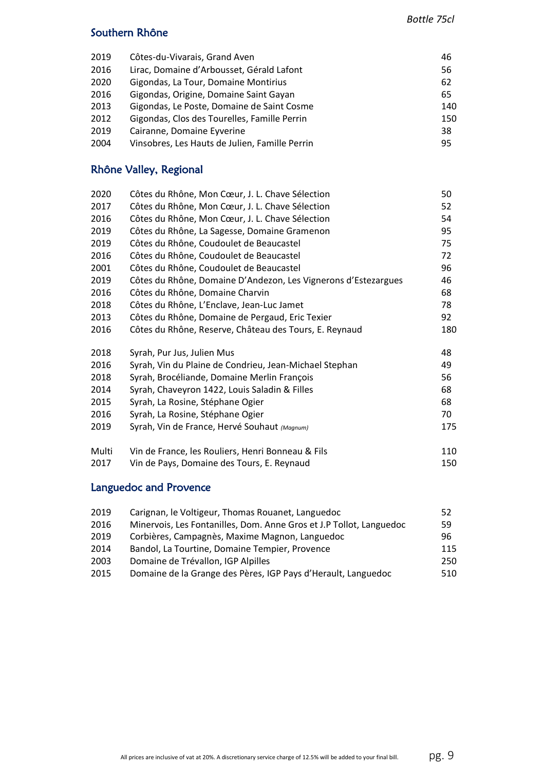### Southern Rhône

| 2019 | Côtes-du-Vivarais, Grand Aven                  | 46  |
|------|------------------------------------------------|-----|
| 2016 | Lirac, Domaine d'Arbousset, Gérald Lafont      | 56  |
| 2020 | Gigondas, La Tour, Domaine Montirius           | 62  |
| 2016 | Gigondas, Origine, Domaine Saint Gayan         | 65  |
| 2013 | Gigondas, Le Poste, Domaine de Saint Cosme     | 140 |
| 2012 | Gigondas, Clos des Tourelles, Famille Perrin   | 150 |
| 2019 | Cairanne, Domaine Eyverine                     | 38  |
| 2004 | Vinsobres, Les Hauts de Julien, Famille Perrin | 95  |

### Rhône Valley, Regional

| 2020  | Côtes du Rhône, Mon Cœur, J. L. Chave Sélection                | 50  |
|-------|----------------------------------------------------------------|-----|
| 2017  | Côtes du Rhône, Mon Cœur, J. L. Chave Sélection                | 52  |
| 2016  | Côtes du Rhône, Mon Cœur, J. L. Chave Sélection                | 54  |
| 2019  | Côtes du Rhône, La Sagesse, Domaine Gramenon                   | 95  |
| 2019  | Côtes du Rhône, Coudoulet de Beaucastel                        | 75  |
| 2016  | Côtes du Rhône, Coudoulet de Beaucastel                        | 72  |
| 2001  | Côtes du Rhône, Coudoulet de Beaucastel                        | 96  |
| 2019  | Côtes du Rhône, Domaine D'Andezon, Les Vignerons d'Estezargues | 46  |
| 2016  | Côtes du Rhône, Domaine Charvin                                | 68  |
| 2018  | Côtes du Rhône, L'Enclave, Jean-Luc Jamet                      | 78  |
| 2013  | Côtes du Rhône, Domaine de Pergaud, Eric Texier                | 92  |
| 2016  | Côtes du Rhône, Reserve, Château des Tours, E. Reynaud         | 180 |
| 2018  | Syrah, Pur Jus, Julien Mus                                     | 48  |
| 2016  | Syrah, Vin du Plaine de Condrieu, Jean-Michael Stephan         | 49  |
| 2018  | Syrah, Brocéliande, Domaine Merlin François                    | 56  |
| 2014  | Syrah, Chaveyron 1422, Louis Saladin & Filles                  | 68  |
| 2015  | Syrah, La Rosine, Stéphane Ogier                               | 68  |
| 2016  | Syrah, La Rosine, Stéphane Ogier                               | 70  |
| 2019  | Syrah, Vin de France, Hervé Souhaut (Magnum)                   | 175 |
| Multi | Vin de France, les Rouliers, Henri Bonneau & Fils              | 110 |
| 2017  | Vin de Pays, Domaine des Tours, E. Reynaud                     | 150 |

### Languedoc and Provence

| 52  |
|-----|
| 59  |
| 96  |
| 115 |
| 250 |
| 510 |
|     |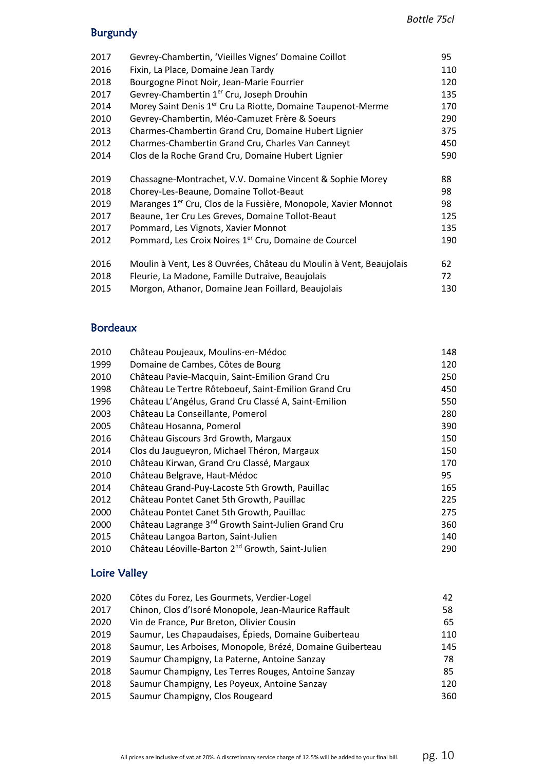## Burgundy

| 2017 | Gevrey-Chambertin, 'Vieilles Vignes' Domaine Coillot                       | 95  |
|------|----------------------------------------------------------------------------|-----|
| 2016 | Fixin, La Place, Domaine Jean Tardy                                        | 110 |
| 2018 | Bourgogne Pinot Noir, Jean-Marie Fourrier                                  | 120 |
| 2017 | Gevrey-Chambertin 1 <sup>er</sup> Cru, Joseph Drouhin                      | 135 |
| 2014 | Morey Saint Denis 1 <sup>er</sup> Cru La Riotte, Domaine Taupenot-Merme    | 170 |
| 2010 | Gevrey-Chambertin, Méo-Camuzet Frère & Soeurs                              | 290 |
| 2013 | Charmes-Chambertin Grand Cru, Domaine Hubert Lignier                       | 375 |
| 2012 | Charmes-Chambertin Grand Cru, Charles Van Canneyt                          | 450 |
| 2014 | Clos de la Roche Grand Cru, Domaine Hubert Lignier                         | 590 |
| 2019 | Chassagne-Montrachet, V.V. Domaine Vincent & Sophie Morey                  | 88  |
| 2018 | Chorey-Les-Beaune, Domaine Tollot-Beaut                                    | 98  |
| 2019 | Maranges 1 <sup>er</sup> Cru, Clos de la Fussière, Monopole, Xavier Monnot | 98  |
| 2017 | Beaune, 1er Cru Les Greves, Domaine Tollot-Beaut                           | 125 |
| 2017 | Pommard, Les Vignots, Xavier Monnot                                        | 135 |
| 2012 | Pommard, Les Croix Noires 1 <sup>er</sup> Cru, Domaine de Courcel          | 190 |
| 2016 | Moulin à Vent, Les 8 Ouvrées, Château du Moulin à Vent, Beaujolais         | 62  |
| 2018 | Fleurie, La Madone, Famille Dutraive, Beaujolais                           | 72  |
| 2015 | Morgon, Athanor, Domaine Jean Foillard, Beaujolais                         | 130 |
|      |                                                                            |     |

### Bordeaux

| 2010 | Château Poujeaux, Moulins-en-Médoc                             | 148 |
|------|----------------------------------------------------------------|-----|
| 1999 | Domaine de Cambes, Côtes de Bourg                              | 120 |
| 2010 | Château Pavie-Macquin, Saint-Emilion Grand Cru                 | 250 |
| 1998 | Château Le Tertre Rôteboeuf, Saint-Emilion Grand Cru           | 450 |
| 1996 | Château L'Angélus, Grand Cru Classé A, Saint-Emilion           | 550 |
| 2003 | Château La Conseillante, Pomerol                               | 280 |
| 2005 | Château Hosanna, Pomerol                                       | 390 |
| 2016 | Château Giscours 3rd Growth, Margaux                           | 150 |
| 2014 | Clos du Jaugueyron, Michael Théron, Margaux                    | 150 |
| 2010 | Château Kirwan, Grand Cru Classé, Margaux                      | 170 |
| 2010 | Château Belgrave, Haut-Médoc                                   | 95  |
| 2014 | Château Grand-Puy-Lacoste 5th Growth, Pauillac                 | 165 |
| 2012 | Château Pontet Canet 5th Growth, Pauillac                      | 225 |
| 2000 | Château Pontet Canet 5th Growth, Pauillac                      | 275 |
| 2000 | Château Lagrange 3 <sup>nd</sup> Growth Saint-Julien Grand Cru | 360 |
| 2015 | Château Langoa Barton, Saint-Julien                            | 140 |
| 2010 | Château Léoville-Barton 2 <sup>nd</sup> Growth, Saint-Julien   | 290 |
|      |                                                                |     |

## Loire Valley

| 2020 | Côtes du Forez, Les Gourmets, Verdier-Logel               | 42  |
|------|-----------------------------------------------------------|-----|
| 2017 | Chinon, Clos d'Isoré Monopole, Jean-Maurice Raffault      | 58  |
| 2020 | Vin de France, Pur Breton, Olivier Cousin                 | 65  |
| 2019 | Saumur, Les Chapaudaises, Épieds, Domaine Guiberteau      | 110 |
| 2018 | Saumur, Les Arboises, Monopole, Brézé, Domaine Guiberteau | 145 |
| 2019 | Saumur Champigny, La Paterne, Antoine Sanzay              | 78  |
| 2018 | Saumur Champigny, Les Terres Rouges, Antoine Sanzay       | 85  |
| 2018 | Saumur Champigny, Les Poyeux, Antoine Sanzay              | 120 |
| 2015 | Saumur Champigny, Clos Rougeard                           | 360 |
|      |                                                           |     |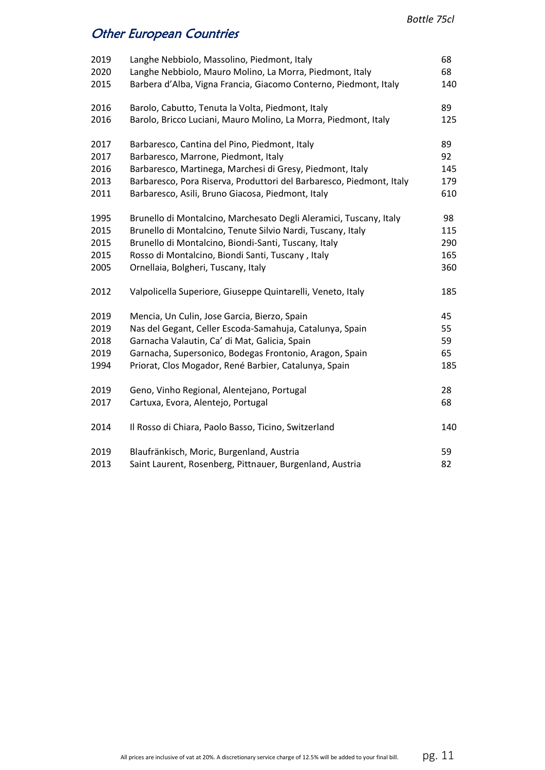# Other European Countries

| 2019 | Langhe Nebbiolo, Massolino, Piedmont, Italy                          | 68  |
|------|----------------------------------------------------------------------|-----|
| 2020 | Langhe Nebbiolo, Mauro Molino, La Morra, Piedmont, Italy             | 68  |
| 2015 | Barbera d'Alba, Vigna Francia, Giacomo Conterno, Piedmont, Italy     | 140 |
| 2016 | Barolo, Cabutto, Tenuta la Volta, Piedmont, Italy                    | 89  |
| 2016 | Barolo, Bricco Luciani, Mauro Molino, La Morra, Piedmont, Italy      | 125 |
| 2017 | Barbaresco, Cantina del Pino, Piedmont, Italy                        | 89  |
| 2017 | Barbaresco, Marrone, Piedmont, Italy                                 | 92  |
| 2016 | Barbaresco, Martinega, Marchesi di Gresy, Piedmont, Italy            | 145 |
| 2013 | Barbaresco, Pora Riserva, Produttori del Barbaresco, Piedmont, Italy | 179 |
| 2011 | Barbaresco, Asili, Bruno Giacosa, Piedmont, Italy                    | 610 |
| 1995 | Brunello di Montalcino, Marchesato Degli Aleramici, Tuscany, Italy   | 98  |
| 2015 | Brunello di Montalcino, Tenute Silvio Nardi, Tuscany, Italy          | 115 |
| 2015 | Brunello di Montalcino, Biondi-Santi, Tuscany, Italy                 | 290 |
| 2015 | Rosso di Montalcino, Biondi Santi, Tuscany, Italy                    | 165 |
| 2005 | Ornellaia, Bolgheri, Tuscany, Italy                                  | 360 |
| 2012 | Valpolicella Superiore, Giuseppe Quintarelli, Veneto, Italy          | 185 |
| 2019 | Mencia, Un Culin, Jose Garcia, Bierzo, Spain                         | 45  |
| 2019 | Nas del Gegant, Celler Escoda-Samahuja, Catalunya, Spain             | 55  |
| 2018 | Garnacha Valautin, Ca' di Mat, Galicia, Spain                        | 59  |
| 2019 | Garnacha, Supersonico, Bodegas Frontonio, Aragon, Spain              | 65  |
| 1994 | Priorat, Clos Mogador, René Barbier, Catalunya, Spain                | 185 |
| 2019 | Geno, Vinho Regional, Alentejano, Portugal                           | 28  |
| 2017 | Cartuxa, Evora, Alentejo, Portugal                                   | 68  |
| 2014 | Il Rosso di Chiara, Paolo Basso, Ticino, Switzerland                 | 140 |
| 2019 | Blaufränkisch, Moric, Burgenland, Austria                            | 59  |
| 2013 | Saint Laurent, Rosenberg, Pittnauer, Burgenland, Austria             | 82  |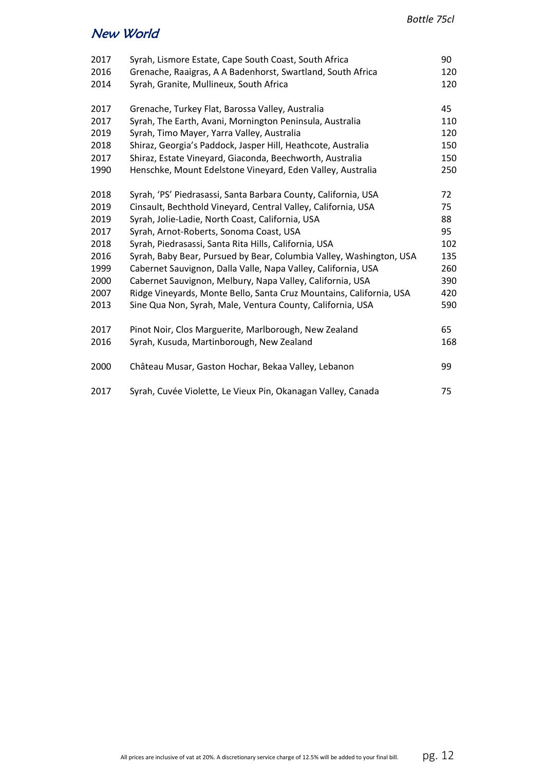## New World

| 2017 | Syrah, Lismore Estate, Cape South Coast, South Africa               | 90  |
|------|---------------------------------------------------------------------|-----|
| 2016 | Grenache, Raaigras, A A Badenhorst, Swartland, South Africa         | 120 |
| 2014 | Syrah, Granite, Mullineux, South Africa                             | 120 |
| 2017 | Grenache, Turkey Flat, Barossa Valley, Australia                    | 45  |
| 2017 | Syrah, The Earth, Avani, Mornington Peninsula, Australia            | 110 |
| 2019 | Syrah, Timo Mayer, Yarra Valley, Australia                          | 120 |
| 2018 | Shiraz, Georgia's Paddock, Jasper Hill, Heathcote, Australia        | 150 |
| 2017 | Shiraz, Estate Vineyard, Giaconda, Beechworth, Australia            | 150 |
| 1990 | Henschke, Mount Edelstone Vineyard, Eden Valley, Australia          | 250 |
| 2018 | Syrah, 'PS' Piedrasassi, Santa Barbara County, California, USA      | 72  |
| 2019 | Cinsault, Bechthold Vineyard, Central Valley, California, USA       | 75  |
| 2019 | Syrah, Jolie-Ladie, North Coast, California, USA                    | 88  |
| 2017 | Syrah, Arnot-Roberts, Sonoma Coast, USA                             | 95  |
| 2018 | Syrah, Piedrasassi, Santa Rita Hills, California, USA               | 102 |
| 2016 | Syrah, Baby Bear, Pursued by Bear, Columbia Valley, Washington, USA | 135 |
| 1999 | Cabernet Sauvignon, Dalla Valle, Napa Valley, California, USA       | 260 |
| 2000 | Cabernet Sauvignon, Melbury, Napa Valley, California, USA           | 390 |
| 2007 | Ridge Vineyards, Monte Bello, Santa Cruz Mountains, California, USA | 420 |
| 2013 | Sine Qua Non, Syrah, Male, Ventura County, California, USA          | 590 |
| 2017 | Pinot Noir, Clos Marguerite, Marlborough, New Zealand               | 65  |
| 2016 | Syrah, Kusuda, Martinborough, New Zealand                           | 168 |
| 2000 | Château Musar, Gaston Hochar, Bekaa Valley, Lebanon                 | 99  |
| 2017 | Syrah, Cuvée Violette, Le Vieux Pin, Okanagan Valley, Canada        | 75  |